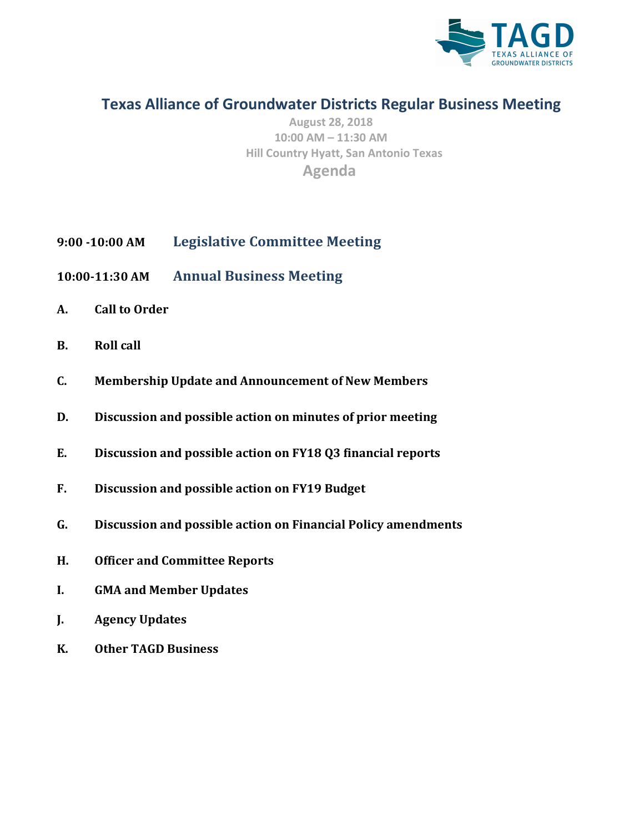

## **Texas Alliance of Groundwater Districts Regular Business Meeting**

**August 28, 2018 10:00 AM – 11:30 AM Hill Country Hyatt, San Antonio Texas Agenda**

- **9:00 -10:00 AM Legislative Committee Meeting**
- **10:00-11:30 AM Annual Business Meeting**
- **A. Call to Order**
- **B. Roll** call
- **C. Membership Update and Announcement of New Members**
- **D.** Discussion and possible action on minutes of prior meeting
- **E.** Discussion and possible action on FY18 Q3 financial reports
- F. Discussion and possible action on FY19 Budget
- **G. [Discussion and possible action on Financial Policy amendments](#page-16-0)**
- **H. Officer and Committee Reports**
- **I. GMA and Member Updates**
- **J. Agency Updates**
- **K. Other TAGD Business**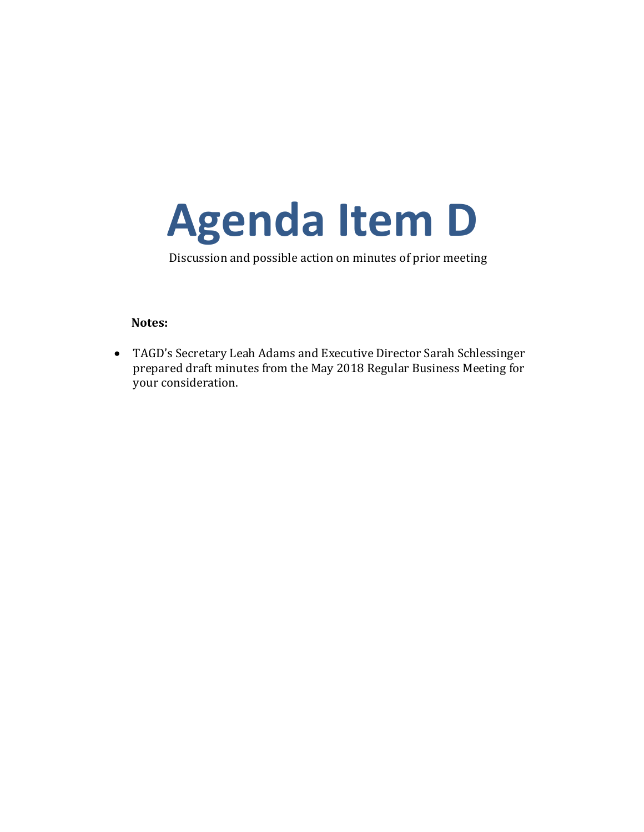<span id="page-1-0"></span>

Discussion and possible action on minutes of prior meeting

### **Notes:**

• TAGD's Secretary Leah Adams and Executive Director Sarah Schlessinger prepared draft minutes from the May 2018 Regular Business Meeting for your consideration.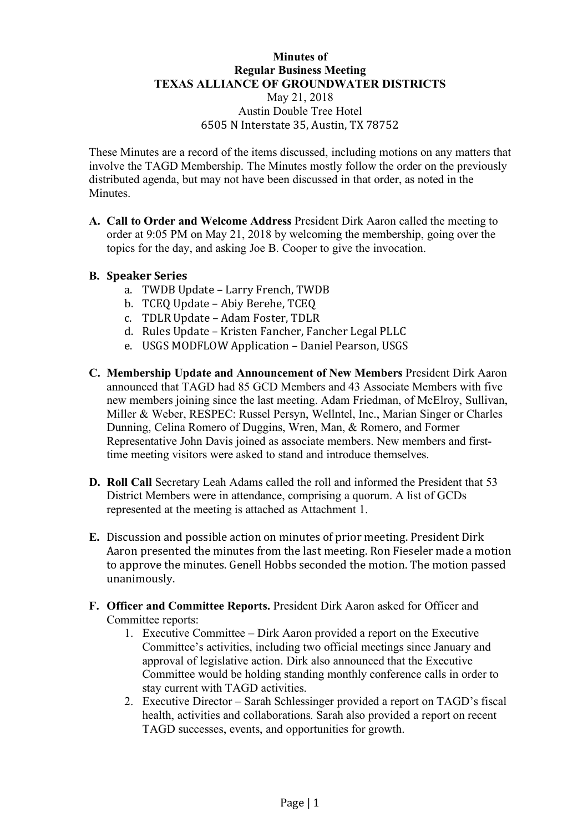### **Minutes of Regular Business Meeting TEXAS ALLIANCE OF GROUNDWATER DISTRICTS** May 21, 2018 Austin Double Tree Hotel 6505 N Interstate 35, Austin, TX 78752

These Minutes are a record of the items discussed, including motions on any matters that involve the TAGD Membership. The Minutes mostly follow the order on the previously distributed agenda, but may not have been discussed in that order, as noted in the Minutes.

**A. Call to Order and Welcome Address** President Dirk Aaron called the meeting to order at 9:05 PM on May 21, 2018 by welcoming the membership, going over the topics for the day, and asking Joe B. Cooper to give the invocation.

## **B. Speaker Series**

- a. TWDB Update Larry French, TWDB
- b. TCEQ Update Abiy Berehe, TCEQ
- c. TDLR Update Adam Foster, TDLR
- d. Rules Update Kristen Fancher, Fancher Legal PLLC
- e. USGS MODFLOW Application Daniel Pearson, USGS
- **C. Membership Update and Announcement of New Members** President Dirk Aaron announced that TAGD had 85 GCD Members and 43 Associate Members with five new members joining since the last meeting. Adam Friedman, of McElroy, Sullivan, Miller & Weber, RESPEC: Russel Persyn, Wellntel, Inc., Marian Singer or Charles Dunning, Celina Romero of Duggins, Wren, Man, & Romero, and Former Representative John Davis joined as associate members. New members and firsttime meeting visitors were asked to stand and introduce themselves.
- **D. Roll Call** Secretary Leah Adams called the roll and informed the President that 53 District Members were in attendance, comprising a quorum. A list of GCDs represented at the meeting is attached as Attachment 1.
- **E.** Discussion and possible action on minutes of prior meeting. President Dirk Aaron presented the minutes from the last meeting. Ron Fieseler made a motion to approve the minutes. Genell Hobbs seconded the motion. The motion passed unanimously.
- **F. Officer and Committee Reports.** President Dirk Aaron asked for Officer and Committee reports:
	- 1. Executive Committee Dirk Aaron provided a report on the Executive Committee's activities, including two official meetings since January and approval of legislative action. Dirk also announced that the Executive Committee would be holding standing monthly conference calls in order to stay current with TAGD activities.
	- 2. Executive Director Sarah Schlessinger provided a report on TAGD's fiscal health, activities and collaborations. Sarah also provided a report on recent TAGD successes, events, and opportunities for growth.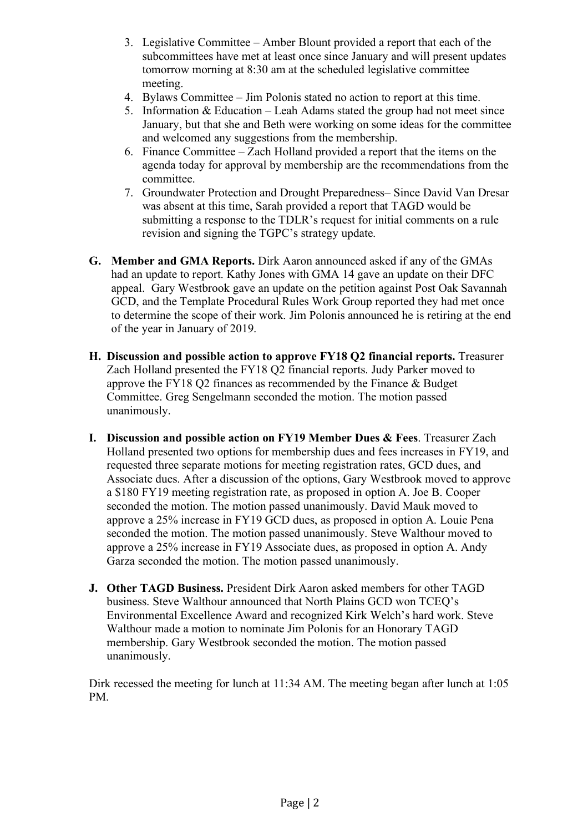- 3. Legislative Committee Amber Blount provided a report that each of the subcommittees have met at least once since January and will present updates tomorrow morning at 8:30 am at the scheduled legislative committee meeting.
- 4. Bylaws Committee Jim Polonis stated no action to report at this time.
- 5. Information  $& Education Leah Adams stated the group had not meet since$ January, but that she and Beth were working on some ideas for the committee and welcomed any suggestions from the membership.
- 6. Finance Committee Zach Holland provided a report that the items on the agenda today for approval by membership are the recommendations from the committee.
- 7. Groundwater Protection and Drought Preparedness– Since David Van Dresar was absent at this time, Sarah provided a report that TAGD would be submitting a response to the TDLR's request for initial comments on a rule revision and signing the TGPC's strategy update.
- **G. Member and GMA Reports.** Dirk Aaron announced asked if any of the GMAs had an update to report. Kathy Jones with GMA 14 gave an update on their DFC appeal. Gary Westbrook gave an update on the petition against Post Oak Savannah GCD, and the Template Procedural Rules Work Group reported they had met once to determine the scope of their work. Jim Polonis announced he is retiring at the end of the year in January of 2019.
- **H. Discussion and possible action to approve FY18 Q2 financial reports.** Treasurer Zach Holland presented the FY18 Q2 financial reports. Judy Parker moved to approve the FY18 Q2 finances as recommended by the Finance & Budget Committee. Greg Sengelmann seconded the motion. The motion passed unanimously.
- **I. Discussion and possible action on FY19 Member Dues & Fees**. Treasurer Zach Holland presented two options for membership dues and fees increases in FY19, and requested three separate motions for meeting registration rates, GCD dues, and Associate dues. After a discussion of the options, Gary Westbrook moved to approve a \$180 FY19 meeting registration rate, as proposed in option A. Joe B. Cooper seconded the motion. The motion passed unanimously. David Mauk moved to approve a 25% increase in FY19 GCD dues, as proposed in option A. Louie Pena seconded the motion. The motion passed unanimously. Steve Walthour moved to approve a 25% increase in FY19 Associate dues, as proposed in option A. Andy Garza seconded the motion. The motion passed unanimously.
- **J. Other TAGD Business.** President Dirk Aaron asked members for other TAGD business. Steve Walthour announced that North Plains GCD won TCEQ's Environmental Excellence Award and recognized Kirk Welch's hard work. Steve Walthour made a motion to nominate Jim Polonis for an Honorary TAGD membership. Gary Westbrook seconded the motion. The motion passed unanimously.

Dirk recessed the meeting for lunch at 11:34 AM. The meeting began after lunch at 1:05 PM.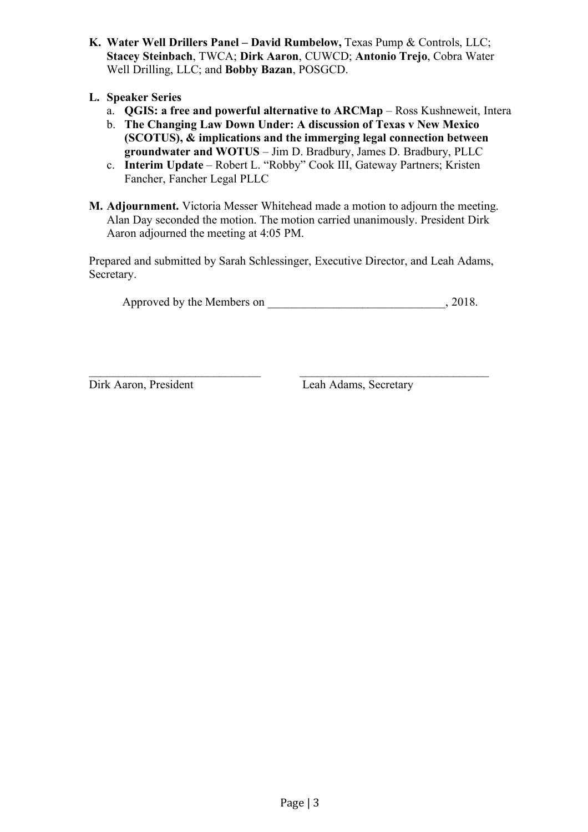- **K. Water Well Drillers Panel – David Rumbelow,** Texas Pump & Controls, LLC; **Stacey Steinbach**, TWCA; **Dirk Aaron**, CUWCD; **Antonio Trejo**, Cobra Water Well Drilling, LLC; and **Bobby Bazan**, POSGCD.
- **L. Speaker Series**
	- a. **QGIS: a free and powerful alternative to ARCMap** Ross Kushneweit, Intera
	- b. **The Changing Law Down Under: A discussion of Texas v New Mexico (SCOTUS), & implications and the immerging legal connection between groundwater and WOTUS** – Jim D. Bradbury, James D. Bradbury, PLLC
	- c. **Interim Update** Robert L. "Robby" Cook III, Gateway Partners; Kristen Fancher, Fancher Legal PLLC
- **M. Adjournment.** Victoria Messer Whitehead made a motion to adjourn the meeting. Alan Day seconded the motion. The motion carried unanimously. President Dirk Aaron adjourned the meeting at 4:05 PM.

Prepared and submitted by Sarah Schlessinger, Executive Director, and Leah Adams, Secretary.

 $\mathcal{L}_\text{max}$  , and the contribution of the contribution of the contribution of the contribution of the contribution of the contribution of the contribution of the contribution of the contribution of the contribution of t

Approved by the Members on \_\_\_\_\_\_\_\_\_\_\_\_\_\_\_\_\_\_\_\_\_\_\_\_\_\_\_\_\_\_, 2018.

Dirk Aaron, President Leah Adams, Secretary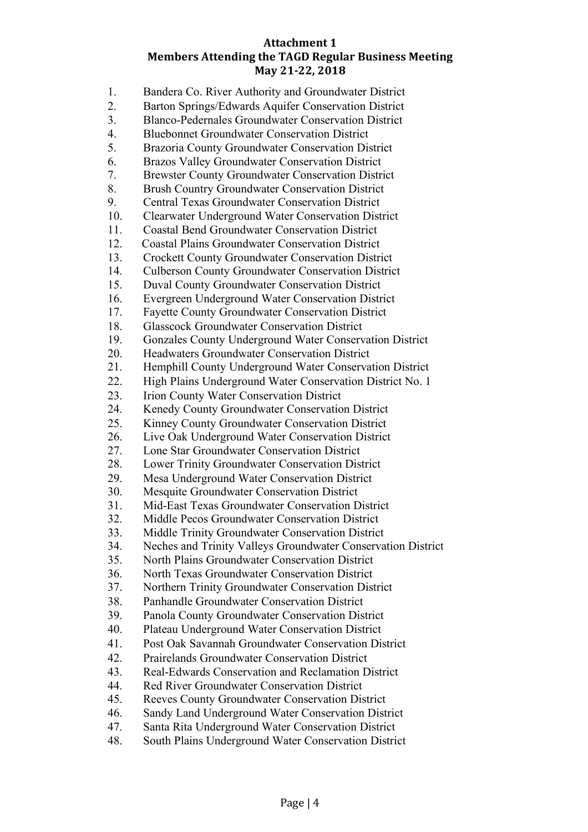## **Attachment 1 Members Attending the TAGD Regular Business Meeting May 21-22, 2018**

| 1.                     | Bandera Co. River Authority and Groundwater District                                                                |
|------------------------|---------------------------------------------------------------------------------------------------------------------|
| 2.                     | Barton Springs/Edwards Aquifer Conservation District                                                                |
| 3.                     | Blanco-Pedernales Groundwater Conservation District                                                                 |
| 4.                     | <b>Bluebonnet Groundwater Conservation District</b>                                                                 |
| 5.                     | Brazoria County Groundwater Conservation District                                                                   |
| 6.                     | Brazos Valley Groundwater Conservation District                                                                     |
| 7.                     | <b>Brewster County Groundwater Conservation District</b>                                                            |
| 8.                     | Brush Country Groundwater Conservation District                                                                     |
| 9.                     | <b>Central Texas Groundwater Conservation District</b>                                                              |
| 10.                    | <b>Clearwater Underground Water Conservation District</b>                                                           |
| 11.<br>12.             | <b>Coastal Bend Groundwater Conservation District</b>                                                               |
| 13.                    | <b>Coastal Plains Groundwater Conservation District</b><br><b>Crockett County Groundwater Conservation District</b> |
| 14.                    | <b>Culberson County Groundwater Conservation District</b>                                                           |
| 15.                    | <b>Duval County Groundwater Conservation District</b>                                                               |
| 16.                    | Evergreen Underground Water Conservation District                                                                   |
| 17.                    | <b>Fayette County Groundwater Conservation District</b>                                                             |
| 18.                    | <b>Glasscock Groundwater Conservation District</b>                                                                  |
| 19.                    | Gonzales County Underground Water Conservation District                                                             |
| 20.                    | Headwaters Groundwater Conservation District                                                                        |
| 21.                    | Hemphill County Underground Water Conservation District                                                             |
| 22.                    | High Plains Underground Water Conservation District No. 1                                                           |
| 23.                    | Irion County Water Conservation District                                                                            |
| 24.                    | Kenedy County Groundwater Conservation District                                                                     |
| 25.                    | Kinney County Groundwater Conservation District                                                                     |
| 26.                    | Live Oak Underground Water Conservation District                                                                    |
| 27.                    | Lone Star Groundwater Conservation District                                                                         |
| 28.                    | Lower Trinity Groundwater Conservation District                                                                     |
| 29.                    | Mesa Underground Water Conservation District                                                                        |
| 30.<br>31.             | Mesquite Groundwater Conservation District<br>Mid-East Texas Groundwater Conservation District                      |
| 32                     | Middle Pecos Groundwater Conservation District                                                                      |
| 33.                    | Middle Trinity Groundwater Conservation District                                                                    |
| 34.                    | Neches and Trinity Valleys Groundwater Conservation District                                                        |
| 35.                    | North Plains Groundwater Conservation District                                                                      |
| 36.                    | North Texas Groundwater Conservation District                                                                       |
| 37.                    | Northern Trinity Groundwater Conservation District                                                                  |
| 38.                    | Panhandle Groundwater Conservation District                                                                         |
| 39.                    | Panola County Groundwater Conservation District                                                                     |
| 40.                    | Plateau Underground Water Conservation District                                                                     |
| 41.                    | Post Oak Savannah Groundwater Conservation District                                                                 |
| 42.                    | <b>Prairelands Groundwater Conservation District</b>                                                                |
| 43.                    | Real-Edwards Conservation and Reclamation District                                                                  |
| 44.                    | Red River Groundwater Conservation District                                                                         |
| 45.                    | Reeves County Groundwater Conservation District                                                                     |
| 46.                    | Sandy Land Underground Water Conservation District                                                                  |
| 47.<br>$\overline{40}$ | Santa Rita Underground Water Conservation District                                                                  |
|                        |                                                                                                                     |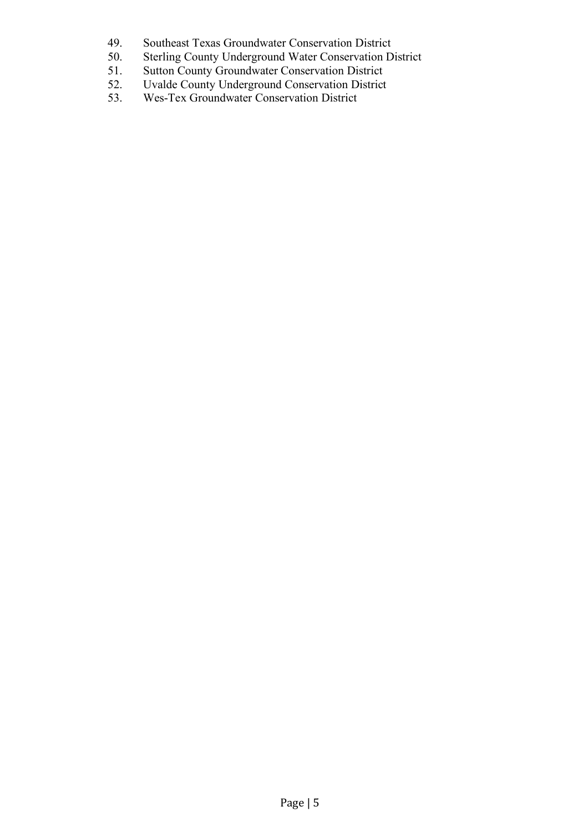- 49. Southeast Texas Groundwater Conservation District<br>50. Sterling County Underground Water Conservation D
- Sterling County Underground Water Conservation District
- 51. Sutton County Groundwater Conservation District
- 52. Uvalde County Underground Conservation District
- 53. Wes-Tex Groundwater Conservation District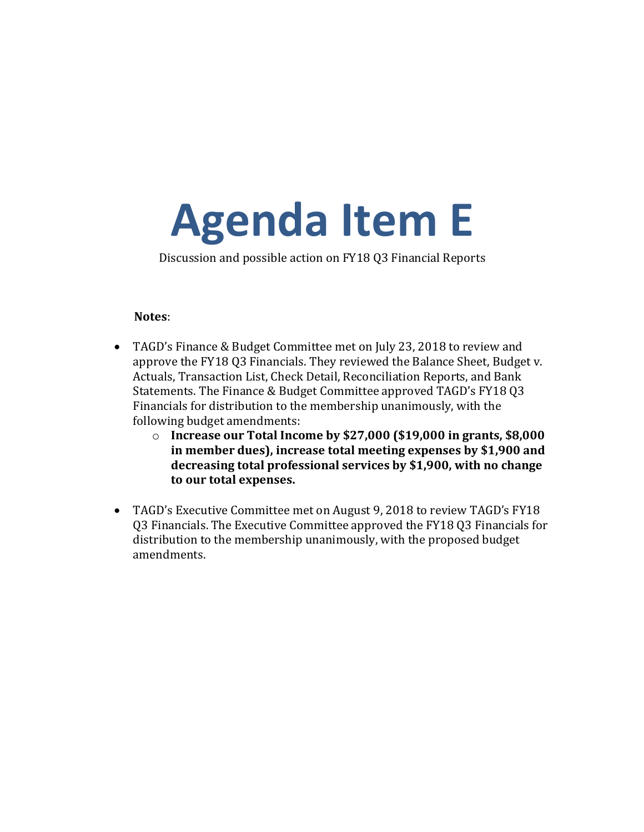# <span id="page-7-0"></span>**Agenda Item E**

Discussion and possible action on FY18 Q3 Financial Reports

### **Notes**:

- TAGD's Finance & Budget Committee met on July 23, 2018 to review and approve the FY18 Q3 Financials. They reviewed the Balance Sheet, Budget v. Actuals, Transaction List, Check Detail, Reconciliation Reports, and Bank Statements. The Finance & Budget Committee approved TAGD's FY18 Q3 Financials for distribution to the membership unanimously, with the following budget amendments:
	- $\circ$  **Increase our Total Income by \$27,000 (\$19,000 in grants, \$8,000** in member dues), increase total meeting expenses by \$1,900 and decreasing total professional services by \$1,900, with no change to our total expenses.
- TAGD's Executive Committee met on August 9, 2018 to review TAGD's FY18 Q3 Financials. The Executive Committee approved the FY18 Q3 Financials for distribution to the membership unanimously, with the proposed budget amendments.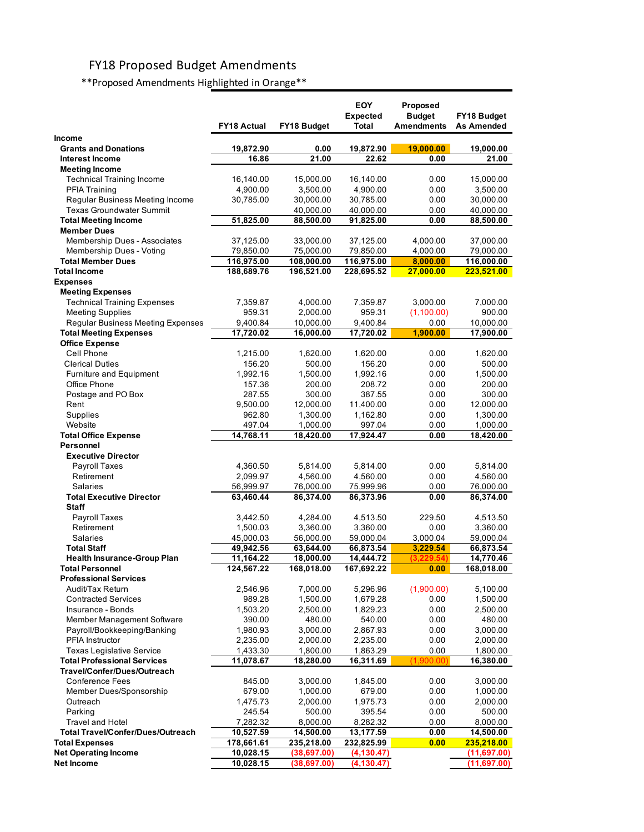# FY18 Proposed Budget Amendments

\*\*Proposed Amendments Highlighted in Orange\*\*

|                                                                   | <b>FY18 Actual</b> | FY18 Budget          | <b>EOY</b><br><b>Expected</b><br>Total | Proposed<br><b>Budget</b><br><b>Amendments</b> | FY18 Budget<br><b>As Amended</b> |
|-------------------------------------------------------------------|--------------------|----------------------|----------------------------------------|------------------------------------------------|----------------------------------|
| Income                                                            |                    |                      |                                        |                                                |                                  |
| <b>Grants and Donations</b>                                       | 19,872.90          | 0.00                 | 19,872.90                              | 19,000.00                                      | 19,000.00                        |
| <b>Interest Income</b>                                            | 16.86              | 21.00                | 22.62                                  | 0.00                                           | 21.00                            |
| <b>Meeting Income</b>                                             |                    |                      |                                        |                                                |                                  |
| <b>Technical Training Income</b>                                  | 16,140.00          | 15,000.00            | 16,140.00                              | 0.00                                           | 15,000.00                        |
| <b>PFIA Training</b>                                              | 4,900.00           | 3,500.00             | 4,900.00                               | 0.00                                           | 3,500.00                         |
| Regular Business Meeting Income                                   | 30,785.00          | 30,000.00            | 30,785.00                              | 0.00                                           | 30,000.00                        |
| <b>Texas Groundwater Summit</b>                                   |                    | 40,000.00            | 40,000.00                              | 0.00                                           | 40,000.00                        |
| <b>Total Meeting Income</b><br><b>Member Dues</b>                 | 51,825.00          | 88,500.00            | 91,825.00                              | 0.00                                           | 88,500.00                        |
| <b>Membership Dues - Associates</b>                               | 37,125.00          | 33,000.00            | 37,125.00                              | 4,000.00                                       | 37,000.00                        |
| Membership Dues - Voting                                          | 79,850.00          | 75,000.00            | 79,850.00                              | 4,000.00                                       | 79,000.00                        |
| <b>Total Member Dues</b>                                          | 116,975.00         | 108,000.00           | 116,975.00                             | 8,000.00                                       | 116,000.00                       |
| <b>Total Income</b>                                               | 188,689.76         | 196,521.00           | 228,695.52                             | <u>27,000.00</u>                               | 223,521.00                       |
| <b>Expenses</b>                                                   |                    |                      |                                        |                                                |                                  |
| <b>Meeting Expenses</b>                                           |                    |                      |                                        |                                                |                                  |
| <b>Technical Training Expenses</b>                                | 7,359.87           | 4,000.00             | 7,359.87                               | 3,000.00                                       | 7,000.00                         |
| <b>Meeting Supplies</b>                                           | 959.31             | 2,000.00             | 959.31                                 | (1,100.00)                                     | 900.00                           |
| Regular Business Meeting Expenses                                 | 9,400.84           | 10,000.00            | 9,400.84                               | 0.00                                           | 10,000.00                        |
| <b>Total Meeting Expenses</b>                                     | 17,720.02          | 16,000.00            | 17,720.02                              | 1,900.00                                       | 17,900.00                        |
| <b>Office Expense</b>                                             |                    |                      |                                        |                                                |                                  |
| Cell Phone                                                        | 1,215.00           | 1,620.00             | 1,620.00                               | 0.00                                           | 1,620.00                         |
| <b>Clerical Duties</b>                                            | 156.20             | 500.00               | 156.20                                 | 0.00                                           | 500.00                           |
| Furniture and Equipment                                           | 1,992.16           | 1,500.00             | 1,992.16                               | 0.00                                           | 1,500.00                         |
| Office Phone                                                      | 157.36             | 200.00               | 208.72                                 | 0.00                                           | 200.00                           |
| Postage and PO Box                                                | 287.55             | 300.00               | 387.55                                 | 0.00                                           | 300.00                           |
| Rent                                                              | 9,500.00           | 12,000.00            | 11,400.00                              | 0.00                                           | 12,000.00                        |
| Supplies                                                          | 962.80             | 1,300.00             | 1,162.80                               | 0.00                                           | 1,300.00                         |
| Website                                                           | 497.04             | 1,000.00             | 997.04                                 | 0.00                                           | 1,000.00                         |
| <b>Total Office Expense</b>                                       | 14,768.11          | 18,420.00            | 17,924.47                              | 0.00                                           | 18,420.00                        |
| Personnel                                                         |                    |                      |                                        |                                                |                                  |
| <b>Executive Director</b><br><b>Payroll Taxes</b>                 | 4,360.50           | 5,814.00             | 5,814.00                               | 0.00                                           | 5,814.00                         |
| Retirement                                                        | 2,099.97           | 4,560.00             | 4,560.00                               | 0.00                                           | 4,560.00                         |
| <b>Salaries</b>                                                   | 56,999.97          | 76,000.00            | 75,999.96                              | 0.00                                           | 76,000.00                        |
| <b>Total Executive Director</b>                                   | 63,460.44          | 86,374.00            | 86,373.96                              | 0.00                                           | 86,374.00                        |
| <b>Staff</b>                                                      |                    |                      |                                        |                                                |                                  |
| <b>Payroll Taxes</b>                                              | 3,442.50           | 4,284.00             | 4,513.50                               | 229.50                                         | 4,513.50                         |
| Retirement                                                        | 1,500.03           | 3,360.00             | 3,360.00                               | 0.00                                           | 3,360.00                         |
| Salaries                                                          | 45,000.03          | 56,000.00            | 59,000.04                              | 3,000.04                                       | 59,000.04                        |
| <b>Total Staff</b>                                                | 49,942.56          | 63,644.00            | 66,873.54                              | 3,229.54                                       | 66,873.54                        |
| <b>Health Insurance-Group Plan</b>                                | 11,164.22          | 18,000.00            | 14,444.72                              | (3.229.54                                      | 14,770.46                        |
| <b>Total Personnel</b>                                            | 124,567.22         | 168,018.00           | 167,692.22                             | 0.00                                           | 168,018.00                       |
| <b>Professional Services</b>                                      |                    |                      |                                        |                                                |                                  |
| Audit/Tax Return                                                  | 2,546.96           | 7,000.00             | 5,296.96                               | (1,900.00)                                     | 5,100.00                         |
| <b>Contracted Services</b>                                        | 989.28             | 1,500.00             | 1,679.28                               | 0.00                                           | 1,500.00                         |
| Insurance - Bonds                                                 | 1,503.20           | 2,500.00             | 1,829.23                               | 0.00                                           | 2,500.00                         |
| Member Management Software                                        | 390.00             | 480.00               | 540.00                                 | 0.00                                           | 480.00                           |
| Payroll/Bookkeeping/Banking                                       | 1,980.93           | 3,000.00             | 2,867.93                               | 0.00                                           | 3,000.00                         |
| PFIA Instructor                                                   | 2,235.00           | 2,000.00             | 2,235.00                               | 0.00                                           | 2,000.00                         |
| <b>Texas Legislative Service</b>                                  | 1,433.30           | 1,800.00             | 1,863.29                               | 0.00                                           | 1,800.00                         |
| <b>Total Professional Services</b><br>Travel/Confer/Dues/Outreach | 11,078.67          | 18,280.00            | 16,311.69                              | (1,900.00                                      | 16,380.00                        |
| <b>Conference Fees</b>                                            | 845.00             |                      |                                        |                                                |                                  |
| Member Dues/Sponsorship                                           | 679.00             | 3,000.00<br>1,000.00 | 1,845.00<br>679.00                     | 0.00<br>0.00                                   | 3,000.00<br>1,000.00             |
| Outreach                                                          | 1,475.73           | 2,000.00             | 1,975.73                               | 0.00                                           | 2,000.00                         |
| Parking                                                           | 245.54             | 500.00               | 395.54                                 | 0.00                                           | 500.00                           |
| <b>Travel and Hotel</b>                                           | 7,282.32           | 8,000.00             | 8,282.32                               | 0.00                                           | 8,000.00                         |
| Total Travel/Confer/Dues/Outreach                                 | 10,527.59          | 14,500.00            | 13,177.59                              | 0.00                                           | 14,500.00                        |
| <b>Total Expenses</b>                                             | 178,661.61         | 235,218.00           | 232,825.99                             | 0.00                                           | 235,218.00                       |
| <b>Net Operating Income</b>                                       | 10,028.15          | (38, 697.00)         | (4, 130.47)                            |                                                | (11,697.00)                      |
| <b>Net Income</b>                                                 | 10,028.15          | (38,697.00)          | (4, 130.47)                            |                                                | (11,697.00)                      |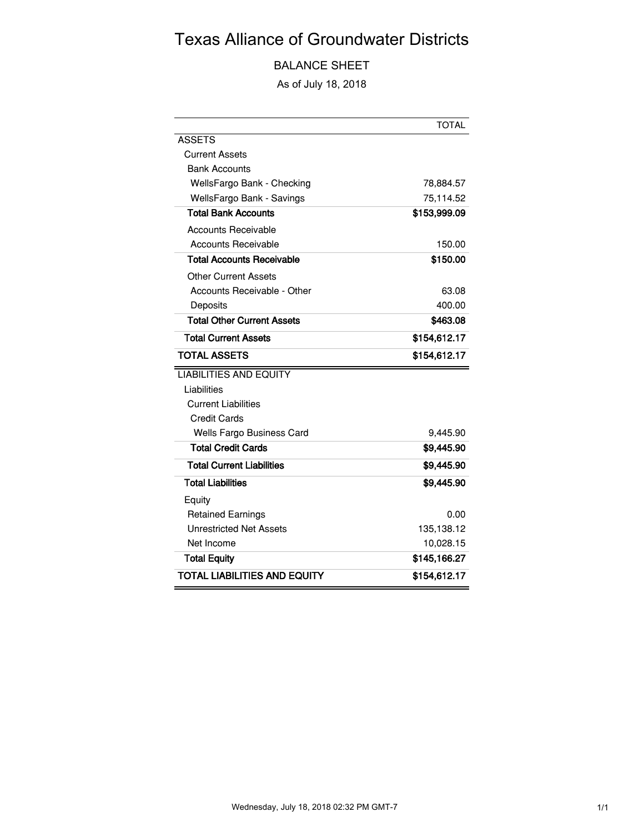# Texas Alliance of Groundwater Districts

BALANCE SHEET

As of July 18, 2018

|                                   | <b>TOTAL</b> |
|-----------------------------------|--------------|
| <b>ASSETS</b>                     |              |
| Current Assets                    |              |
| <b>Bank Accounts</b>              |              |
| WellsFargo Bank - Checking        | 78,884.57    |
| WellsFargo Bank - Savings         | 75,114.52    |
| <b>Total Bank Accounts</b>        | \$153,999.09 |
| Accounts Receivable               |              |
| <b>Accounts Receivable</b>        | 150.00       |
| <b>Total Accounts Receivable</b>  | \$150.00     |
| Other Current Assets              |              |
| Accounts Receivable - Other       | 63.08        |
| Deposits                          | 400.00       |
| <b>Total Other Current Assets</b> | \$463.08     |
| <b>Total Current Assets</b>       | \$154,612.17 |
| <b>TOTAL ASSETS</b>               | \$154,612.17 |
| <b>LIABILITIES AND EQUITY</b>     |              |
| Liabilities                       |              |
| <b>Current Liabilities</b>        |              |
| <b>Credit Cards</b>               |              |
| Wells Fargo Business Card         | 9,445.90     |
| <b>Total Credit Cards</b>         | \$9,445.90   |
| <b>Total Current Liabilities</b>  | \$9,445.90   |
| <b>Total Liabilities</b>          | \$9,445.90   |
| Equity                            |              |
| <b>Retained Earnings</b>          | 0.00         |
| Unrestricted Net Assets           | 135,138.12   |
| Net Income                        | 10,028.15    |
| <b>Total Equity</b>               | \$145,166.27 |
| TOTAL LIABILITIES AND EQUITY      | \$154,612.17 |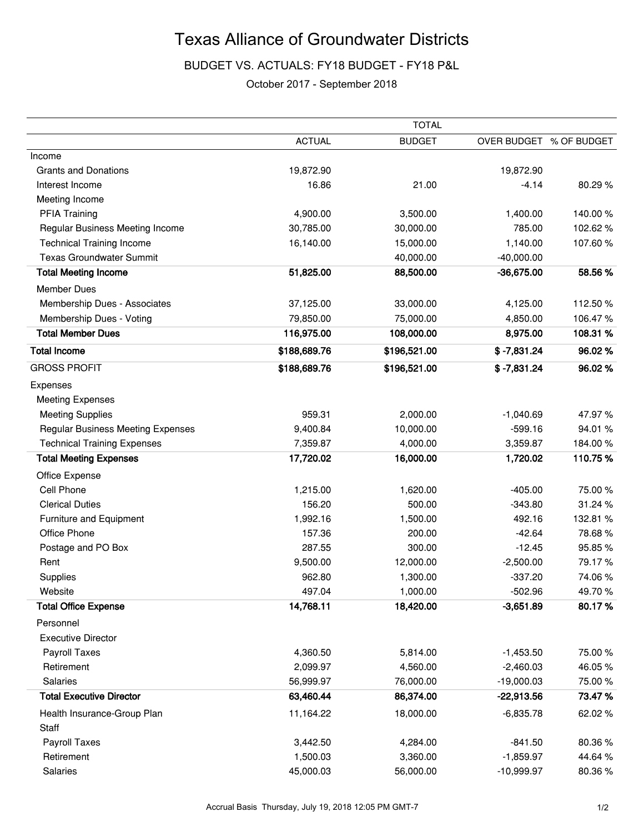# Texas Alliance of Groundwater Districts

BUDGET VS. ACTUALS: FY18 BUDGET - FY18 P&L

### October 2017 - September 2018

|                                          | <b>TOTAL</b>  |               |                         |          |  |
|------------------------------------------|---------------|---------------|-------------------------|----------|--|
|                                          | <b>ACTUAL</b> | <b>BUDGET</b> | OVER BUDGET % OF BUDGET |          |  |
| Income                                   |               |               |                         |          |  |
| <b>Grants and Donations</b>              | 19,872.90     |               | 19,872.90               |          |  |
| Interest Income                          | 16.86         | 21.00         | $-4.14$                 | 80.29%   |  |
| Meeting Income                           |               |               |                         |          |  |
| <b>PFIA Training</b>                     | 4,900.00      | 3,500.00      | 1,400.00                | 140.00%  |  |
| Regular Business Meeting Income          | 30,785.00     | 30,000.00     | 785.00                  | 102.62%  |  |
| <b>Technical Training Income</b>         | 16,140.00     | 15,000.00     | 1,140.00                | 107.60%  |  |
| <b>Texas Groundwater Summit</b>          |               | 40,000.00     | $-40,000.00$            |          |  |
| <b>Total Meeting Income</b>              | 51,825.00     | 88,500.00     | $-36,675.00$            | 58.56%   |  |
| <b>Member Dues</b>                       |               |               |                         |          |  |
| Membership Dues - Associates             | 37,125.00     | 33,000.00     | 4,125.00                | 112.50%  |  |
| Membership Dues - Voting                 | 79,850.00     | 75,000.00     | 4,850.00                | 106.47%  |  |
| <b>Total Member Dues</b>                 | 116,975.00    | 108,000.00    | 8,975.00                | 108.31%  |  |
| <b>Total Income</b>                      | \$188,689.76  | \$196,521.00  | $$ -7,831.24$           | 96.02%   |  |
| <b>GROSS PROFIT</b>                      | \$188,689.76  | \$196,521.00  | $$ -7,831.24$           | 96.02%   |  |
| Expenses                                 |               |               |                         |          |  |
| <b>Meeting Expenses</b>                  |               |               |                         |          |  |
| <b>Meeting Supplies</b>                  | 959.31        | 2,000.00      | $-1,040.69$             | 47.97%   |  |
| <b>Regular Business Meeting Expenses</b> | 9,400.84      | 10,000.00     | $-599.16$               | 94.01%   |  |
| <b>Technical Training Expenses</b>       | 7,359.87      | 4,000.00      | 3,359.87                | 184.00%  |  |
| <b>Total Meeting Expenses</b>            | 17,720.02     | 16,000.00     | 1,720.02                | 110.75%  |  |
| Office Expense                           |               |               |                         |          |  |
| Cell Phone                               | 1,215.00      | 1,620.00      | $-405.00$               | 75.00 %  |  |
| <b>Clerical Duties</b>                   | 156.20        | 500.00        | $-343.80$               | 31.24 %  |  |
| Furniture and Equipment                  | 1,992.16      | 1,500.00      | 492.16                  | 132.81 % |  |
| Office Phone                             | 157.36        | 200.00        | $-42.64$                | 78.68%   |  |
| Postage and PO Box                       | 287.55        | 300.00        | $-12.45$                | 95.85%   |  |
| Rent                                     | 9,500.00      | 12,000.00     | $-2,500.00$             | 79.17%   |  |
| Supplies                                 | 962.80        | 1,300.00      | $-337.20$               | 74.06%   |  |
| Website                                  | 497.04        | 1,000.00      | $-502.96$               | 49.70%   |  |
| <b>Total Office Expense</b>              | 14,768.11     | 18,420.00     | $-3,651.89$             | 80.17%   |  |
| Personnel                                |               |               |                         |          |  |
| <b>Executive Director</b>                |               |               |                         |          |  |
| Payroll Taxes                            | 4,360.50      | 5,814.00      | $-1,453.50$             | 75.00%   |  |
| Retirement                               | 2,099.97      | 4,560.00      | $-2,460.03$             | 46.05%   |  |
| Salaries                                 | 56,999.97     | 76,000.00     | $-19,000.03$            | 75.00 %  |  |
| <b>Total Executive Director</b>          | 63,460.44     | 86,374.00     | $-22,913.56$            | 73.47%   |  |
| Health Insurance-Group Plan<br>Staff     | 11,164.22     | 18,000.00     | $-6,835.78$             | 62.02%   |  |
| Payroll Taxes                            | 3,442.50      | 4,284.00      | $-841.50$               | 80.36%   |  |
| Retirement                               | 1,500.03      | 3,360.00      | $-1,859.97$             | 44.64%   |  |
| Salaries                                 | 45,000.03     | 56,000.00     | $-10,999.97$            | 80.36%   |  |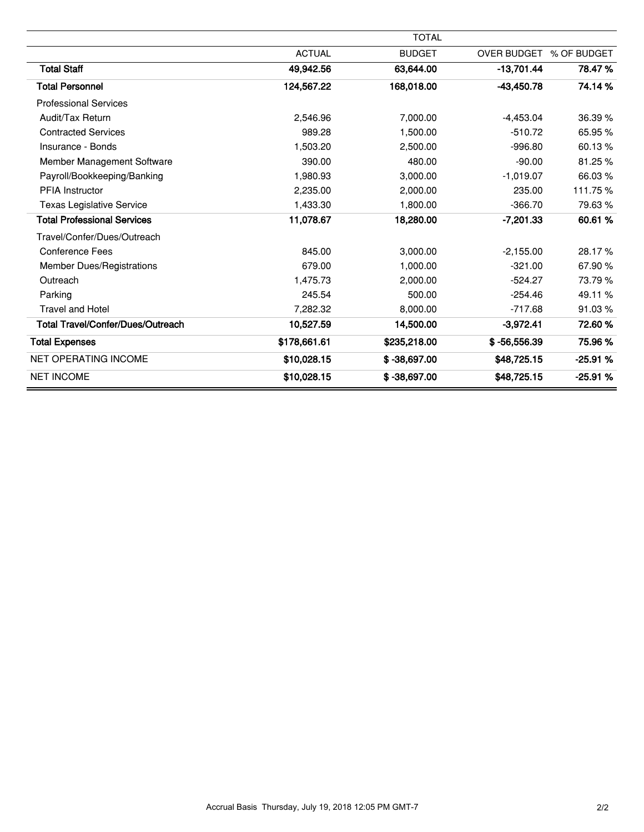|                                    |               | <b>TOTAL</b>   |                         |           |
|------------------------------------|---------------|----------------|-------------------------|-----------|
|                                    | <b>ACTUAL</b> | <b>BUDGET</b>  | OVER BUDGET % OF BUDGET |           |
| <b>Total Staff</b>                 | 49,942.56     | 63,644.00      | $-13,701.44$            | 78.47%    |
| <b>Total Personnel</b>             | 124,567.22    | 168,018.00     | $-43,450.78$            | 74.14%    |
| <b>Professional Services</b>       |               |                |                         |           |
| Audit/Tax Return                   | 2,546.96      | 7,000.00       | $-4,453.04$             | 36.39%    |
| <b>Contracted Services</b>         | 989.28        | 1,500.00       | $-510.72$               | 65.95 %   |
| Insurance - Bonds                  | 1,503.20      | 2,500.00       | $-996.80$               | 60.13%    |
| Member Management Software         | 390.00        | 480.00         | $-90.00$                | 81.25%    |
| Payroll/Bookkeeping/Banking        | 1,980.93      | 3,000.00       | $-1,019.07$             | 66.03%    |
| <b>PFIA Instructor</b>             | 2,235.00      | 2,000.00       | 235.00                  | 111.75%   |
| <b>Texas Legislative Service</b>   | 1,433.30      | 1,800.00       | $-366.70$               | 79.63%    |
| <b>Total Professional Services</b> | 11,078.67     | 18,280.00      | -7,201.33               | 60.61%    |
| Travel/Confer/Dues/Outreach        |               |                |                         |           |
| <b>Conference Fees</b>             | 845.00        | 3,000.00       | $-2,155.00$             | 28.17%    |
| <b>Member Dues/Registrations</b>   | 679.00        | 1,000.00       | $-321.00$               | 67.90%    |
| Outreach                           | 1,475.73      | 2,000.00       | $-524.27$               | 73.79%    |
| Parking                            | 245.54        | 500.00         | $-254.46$               | 49.11 %   |
| <b>Travel and Hotel</b>            | 7,282.32      | 8,000.00       | $-717.68$               | 91.03%    |
| Total Travel/Confer/Dues/Outreach  | 10,527.59     | 14,500.00      | $-3,972.41$             | 72.60%    |
| <b>Total Expenses</b>              | \$178,661.61  | \$235,218.00   | $$ -56,556.39$          | 75.96%    |
| <b>NET OPERATING INCOME</b>        | \$10,028.15   | $$ -38,697.00$ | \$48,725.15             | $-25.91%$ |
| <b>NET INCOME</b>                  | \$10,028.15   | $$ -38,697.00$ | \$48,725.15             | -25.91 %  |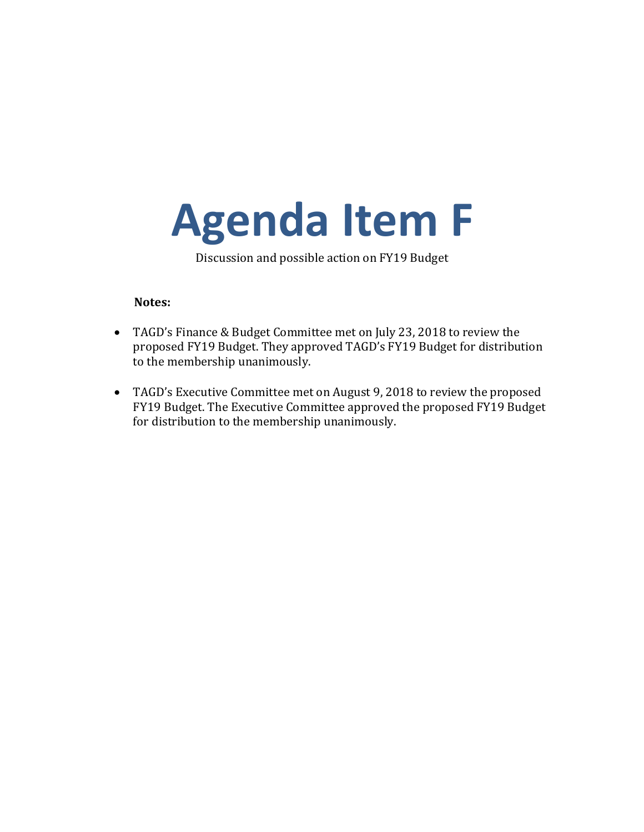# <span id="page-12-0"></span>**Agenda Item F**

Discussion and possible action on FY19 Budget

### **Notes:**

- TAGD's Finance & Budget Committee met on July 23, 2018 to review the proposed FY19 Budget. They approved TAGD's FY19 Budget for distribution to the membership unanimously.
- TAGD's Executive Committee met on August 9, 2018 to review the proposed FY19 Budget. The Executive Committee approved the proposed FY19 Budget for distribution to the membership unanimously.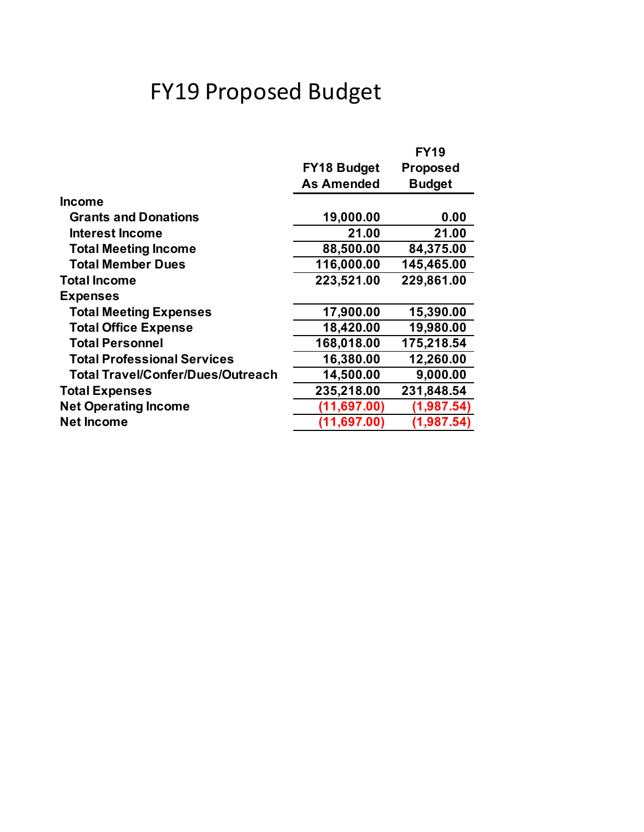# FY19 Proposed Budget

|                                    |                    | <b>FY19</b>     |
|------------------------------------|--------------------|-----------------|
|                                    | <b>FY18 Budget</b> | <b>Proposed</b> |
|                                    | <b>As Amended</b>  | <b>Budget</b>   |
| <b>Income</b>                      |                    |                 |
| <b>Grants and Donations</b>        | 19,000.00          | 0.00            |
| Interest Income                    | 21.00              | 21.00           |
| <b>Total Meeting Income</b>        | 88,500.00          | 84,375.00       |
| <b>Total Member Dues</b>           | 116,000.00         | 145,465.00      |
| <b>Total Income</b>                | 223,521.00         | 229,861.00      |
| <b>Expenses</b>                    |                    |                 |
| <b>Total Meeting Expenses</b>      | 17,900.00          | 15,390.00       |
| <b>Total Office Expense</b>        | 18,420.00          | 19,980.00       |
| <b>Total Personnel</b>             | 168,018.00         | 175,218.54      |
| <b>Total Professional Services</b> | 16,380.00          | 12,260.00       |
| Total Travel/Confer/Dues/Outreach  | 14,500.00          | 9,000.00        |
| <b>Total Expenses</b>              | 235,218.00         | 231,848.54      |
| <b>Net Operating Income</b>        | (11,697.00)        | (1,987.54)      |
| <b>Net Income</b>                  | (11, 697.00)       | (1, 987.54)     |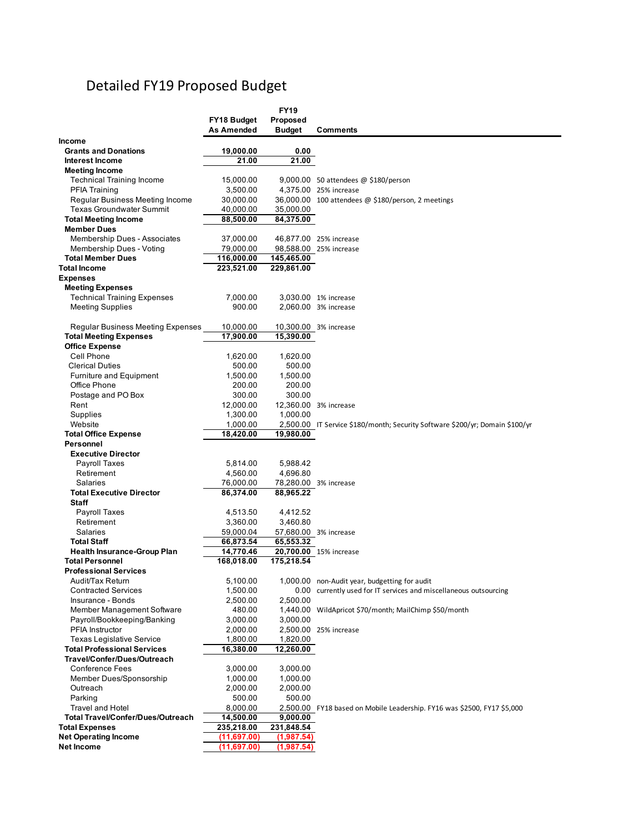# Detailed FY19 Proposed Budget

|                                                        |                       | <b>FY19</b>   |                                                                              |
|--------------------------------------------------------|-----------------------|---------------|------------------------------------------------------------------------------|
|                                                        | FY18 Budget           | Proposed      |                                                                              |
|                                                        | As Amended            | <b>Budget</b> | <b>Comments</b>                                                              |
| Income                                                 |                       |               |                                                                              |
| <b>Grants and Donations</b>                            | 19,000.00             | 0.00          |                                                                              |
| <b>Interest Income</b>                                 | 21.00                 | 21.00         |                                                                              |
| <b>Meeting Income</b>                                  |                       |               |                                                                              |
| <b>Technical Training Income</b>                       | 15,000.00             |               | $9,000.00$ 50 attendees @ \$180/person                                       |
| <b>PFIA Training</b>                                   | 3,500.00              |               | 4,375.00 25% increase                                                        |
| Regular Business Meeting Income                        | 30,000.00             |               | 36,000.00 100 attendees @ \$180/person, 2 meetings                           |
| <b>Texas Groundwater Summit</b>                        | 40,000.00             | 35,000.00     |                                                                              |
| <b>Total Meeting Income</b>                            | 88,500.00             | 84,375.00     |                                                                              |
| <b>Member Dues</b>                                     |                       |               |                                                                              |
| Membership Dues - Associates                           | 37,000.00             |               | 46,877.00 25% increase                                                       |
| Membership Dues - Voting                               | 79,000.00             |               | 98,588.00 25% increase                                                       |
| <b>Total Member Dues</b>                               | 116,000.00            | 145,465.00    |                                                                              |
| <b>Total Income</b>                                    | 223,521.00            | 229,861.00    |                                                                              |
| <b>Expenses</b>                                        |                       |               |                                                                              |
| <b>Meeting Expenses</b>                                |                       |               |                                                                              |
| <b>Technical Training Expenses</b>                     | 7,000.00              |               | 3,030.00 1% increase                                                         |
| <b>Meeting Supplies</b>                                | 900.00                |               | 2,060.00 3% increase                                                         |
|                                                        |                       |               |                                                                              |
| Regular Business Meeting Expenses                      | 10,000.00             |               | 10,300.00 3% increase                                                        |
| <b>Total Meeting Expenses</b>                          | 17,900.00             | 15,390.00     |                                                                              |
| <b>Office Expense</b>                                  |                       |               |                                                                              |
| Cell Phone                                             | 1,620.00              | 1,620.00      |                                                                              |
| <b>Clerical Duties</b>                                 | 500.00                | 500.00        |                                                                              |
| <b>Furniture and Equipment</b>                         | 1,500.00              | 1,500.00      |                                                                              |
| Office Phone                                           | 200.00                | 200.00        |                                                                              |
| Postage and PO Box                                     | 300.00                | 300.00        |                                                                              |
| Rent                                                   | 12,000.00             |               | 12,360.00 3% increase                                                        |
| Supplies                                               | 1,300.00              | 1,000.00      |                                                                              |
| Website                                                | 1,000.00              |               | 2,500.00 IT Service \$180/month; Security Software \$200/yr; Domain \$100/yr |
| <b>Total Office Expense</b>                            | 18,420.00             | 19,980.00     |                                                                              |
| Personnel                                              |                       |               |                                                                              |
| <b>Executive Director</b>                              |                       |               |                                                                              |
| Payroll Taxes                                          | 5,814.00              | 5,988.42      |                                                                              |
| Retirement                                             | 4,560.00              | 4,696.80      |                                                                              |
| Salaries                                               | 76,000.00             |               | 78,280.00 3% increase                                                        |
| <b>Total Executive Director</b>                        | 86,374.00             | 88,965.22     |                                                                              |
| <b>Staff</b>                                           |                       |               |                                                                              |
|                                                        |                       |               |                                                                              |
| Payroll Taxes                                          | 4,513.50              | 4,412.52      |                                                                              |
| Retirement<br>Salaries                                 | 3,360.00<br>59,000.04 | 3,460.80      |                                                                              |
|                                                        |                       | 65,553.32     | 57,680.00 3% increase                                                        |
| <b>Total Staff</b>                                     | 66,873.54             |               |                                                                              |
| <b>Health Insurance-Group Plan</b>                     | 14,770.46             |               | 20,700.00 15% increase                                                       |
| <b>Total Personnel</b><br><b>Professional Services</b> | 168,018.00            | 175,218.54    |                                                                              |
|                                                        | 5,100.00              |               | 1,000.00 non-Audit year, budgetting for audit                                |
| Audit/Tax Return                                       |                       |               |                                                                              |
| <b>Contracted Services</b>                             | 1,500.00              |               | 0.00 currently used for IT services and miscellaneous outsourcing            |
| Insurance - Bonds                                      | 2,500.00              | 2,500.00      |                                                                              |
| Member Management Software                             | 480.00                |               | 1,440.00 WildApricot \$70/month; MailChimp \$50/month                        |
| Payroll/Bookkeeping/Banking                            | 3,000.00              | 3,000.00      |                                                                              |
| PFIA Instructor                                        | 2,000.00              |               | 2,500.00 25% increase                                                        |
| <b>Texas Legislative Service</b>                       | 1,800.00              | 1,820.00      |                                                                              |
| <b>Total Professional Services</b>                     | 16,380.00             | 12,260.00     |                                                                              |
| Travel/Confer/Dues/Outreach                            |                       |               |                                                                              |
| <b>Conference Fees</b>                                 | 3,000.00              | 3,000.00      |                                                                              |
| Member Dues/Sponsorship                                | 1,000.00              | 1,000.00      |                                                                              |
| Outreach                                               | 2,000.00              | 2,000.00      |                                                                              |
| Parking                                                | 500.00                | 500.00        |                                                                              |
| <b>Travel and Hotel</b>                                | 8,000.00              |               | 2,500.00 FY18 based on Mobile Leadership. FY16 was \$2500, FY17 \$5,000      |
| <b>Total Travel/Confer/Dues/Outreach</b>               | 14,500.00             | 9,000.00      |                                                                              |
| <b>Total Expenses</b>                                  | 235,218.00            | 231,848.54    |                                                                              |
| <b>Net Operating Income</b>                            | (11,697.00)           | (1,987.54)    |                                                                              |
| Net Income                                             | (11,697.00)           | (1,987.54)    |                                                                              |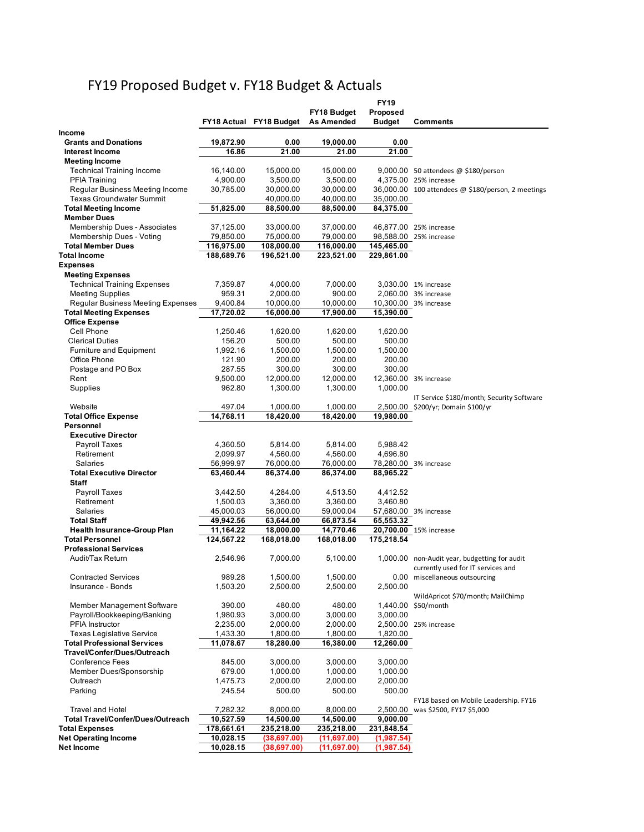# FY19 Proposed Budget v. FY18 Budget & Actuals

|                                          |                       |                         |                       | FY19          |                                                    |
|------------------------------------------|-----------------------|-------------------------|-----------------------|---------------|----------------------------------------------------|
|                                          |                       |                         | FY18 Budget           | Proposed      |                                                    |
|                                          |                       | FY18 Actual FY18 Budget | <b>As Amended</b>     | <b>Budget</b> | <b>Comments</b>                                    |
| <b>Income</b>                            |                       |                         |                       |               |                                                    |
| <b>Grants and Donations</b>              | 19,872.90             | 0.00                    | 19,000.00             | 0.00          |                                                    |
| Interest Income<br><b>Meeting Income</b> | 16.86                 | 21.00                   | 21.00                 | 21.00         |                                                    |
| <b>Technical Training Income</b>         | 16,140.00             | 15,000.00               | 15,000.00             |               | $9,000.00$ 50 attendees @ \$180/person             |
| <b>PFIA Training</b>                     | 4,900.00              | 3,500.00                | 3,500.00              |               | 4,375.00 25% increase                              |
| Regular Business Meeting Income          | 30,785.00             | 30,000.00               | 30,000.00             |               | 36,000.00 100 attendees @ \$180/person, 2 meetings |
| <b>Texas Groundwater Summit</b>          |                       | 40,000.00               | 40,000.00             | 35,000.00     |                                                    |
| <b>Total Meeting Income</b>              | 51,825.00             | 88,500.00               | 88,500.00             | 84,375.00     |                                                    |
| <b>Member Dues</b>                       |                       |                         |                       |               |                                                    |
| <b>Membership Dues - Associates</b>      | 37,125.00             | 33,000.00               | 37,000.00             |               | 46,877.00 25% increase                             |
| Membership Dues - Voting                 | 79,850.00             | 75,000.00               | 79,000.00             |               | 98,588.00 25% increase                             |
| <b>Total Member Dues</b>                 | 116,975.00            | 108,000.00              | 116,000.00            | 145,465.00    |                                                    |
| <b>Total Income</b>                      | 188,689.76            | 196,521.00              | 223,521.00            | 229,861.00    |                                                    |
| <b>Expenses</b>                          |                       |                         |                       |               |                                                    |
| <b>Meeting Expenses</b>                  |                       |                         |                       |               |                                                    |
| <b>Technical Training Expenses</b>       | 7,359.87              | 4,000.00                | 7,000.00              |               | 3,030.00 1% increase                               |
| <b>Meeting Supplies</b>                  | 959.31                | 2,000.00                | 900.00                |               | 2,060.00 3% increase                               |
| Regular Business Meeting Expenses        | 9,400.84              | 10,000.00               | 10,000.00             |               | 10,300.00 3% increase                              |
| <b>Total Meeting Expenses</b>            | 17,720.02             | 16,000.00               | 17,900.00             | 15,390.00     |                                                    |
| <b>Office Expense</b><br>Cell Phone      | 1,250.46              | 1,620.00                | 1,620.00              | 1,620.00      |                                                    |
| <b>Clerical Duties</b>                   | 156.20                | 500.00                  | 500.00                | 500.00        |                                                    |
| <b>Furniture and Equipment</b>           | 1,992.16              | 1,500.00                | 1,500.00              | 1,500.00      |                                                    |
| Office Phone                             | 121.90                | 200.00                  | 200.00                | 200.00        |                                                    |
| Postage and PO Box                       | 287.55                | 300.00                  | 300.00                | 300.00        |                                                    |
| Rent                                     | 9,500.00              | 12,000.00               | 12,000.00             |               | 12,360.00 3% increase                              |
| Supplies                                 | 962.80                | 1,300.00                | 1,300.00              | 1,000.00      |                                                    |
|                                          |                       |                         |                       |               | IT Service \$180/month; Security Software          |
| Website                                  | 497.04                | 1,000.00                | 1,000.00              |               | 2,500.00 \$200/yr; Domain \$100/yr                 |
| <b>Total Office Expense</b>              | 14,768.11             | 18,420.00               | 18,420.00             | 19,980.00     |                                                    |
| Personnel                                |                       |                         |                       |               |                                                    |
| <b>Executive Director</b>                |                       |                         |                       |               |                                                    |
| <b>Payroll Taxes</b>                     | 4,360.50              | 5,814.00                | 5,814.00              | 5,988.42      |                                                    |
| Retirement                               | 2,099.97              | 4,560.00                | 4,560.00              | 4,696.80      |                                                    |
| <b>Salaries</b>                          | 56,999.97             | 76,000.00               | 76,000.00             |               | 78,280.00 3% increase                              |
| <b>Total Executive Director</b>          | 63,460.44             | 86,374.00               | 86,374.00             | 88,965.22     |                                                    |
| <b>Staff</b>                             |                       |                         |                       |               |                                                    |
| <b>Payroll Taxes</b>                     | 3,442.50              | 4,284.00                | 4,513.50              | 4,412.52      |                                                    |
| Retirement<br><b>Salaries</b>            | 1,500.03<br>45,000.03 | 3,360.00<br>56,000.00   | 3,360.00<br>59,000.04 | 3,460.80      |                                                    |
| <b>Total Staff</b>                       | 49,942.56             | 63,644.00               | 66,873.54             | 65,553.32     | 57,680.00 3% increase                              |
| <b>Health Insurance-Group Plan</b>       | 11,164.22             | 18,000.00               | 14,770.46             |               | 20,700.00 15% increase                             |
| <b>Total Personnel</b>                   | 124,567.22            | 168,018.00              | 168,018.00            | 175,218.54    |                                                    |
| <b>Professional Services</b>             |                       |                         |                       |               |                                                    |
| Audit/Tax Return                         | 2,546.96              | 7,000.00                | 5,100.00              |               | 1,000.00 non-Audit year, budgetting for audit      |
|                                          |                       |                         |                       |               | currently used for IT services and                 |
| <b>Contracted Services</b>               | 989.28                | 1,500.00                | 1,500.00              |               | 0.00 miscellaneous outsourcing                     |
| Insurance - Bonds                        | 1,503.20              | 2,500.00                | 2,500.00              | 2,500.00      |                                                    |
|                                          |                       |                         |                       |               | WildApricot \$70/month; MailChimp                  |
| Member Management Software               | 390.00                | 480.00                  | 480.00                |               | 1,440.00 \$50/month                                |
| Payroll/Bookkeeping/Banking              | 1,980.93              | 3,000.00                | 3,000.00              | 3,000.00      |                                                    |
| PFIA Instructor                          | 2,235.00              | 2,000.00                | 2,000.00              |               | 2,500.00 25% increase                              |
| <b>Texas Legislative Service</b>         | 1,433.30              | 1,800.00                | 1,800.00              | 1,820.00      |                                                    |
| <b>Total Professional Services</b>       | 11,078.67             | 18,280.00               | 16,380.00             | 12,260.00     |                                                    |
| Travel/Confer/Dues/Outreach              |                       |                         |                       |               |                                                    |
| <b>Conference Fees</b>                   | 845.00                | 3,000.00                | 3,000.00              | 3,000.00      |                                                    |
| Member Dues/Sponsorship                  | 679.00                | 1,000.00                | 1,000.00              | 1,000.00      |                                                    |
| Outreach<br>Parking                      | 1,475.73              | 2,000.00                | 2,000.00              | 2,000.00      |                                                    |
|                                          | 245.54                | 500.00                  | 500.00                | 500.00        | FY18 based on Mobile Leadership. FY16              |
| <b>Travel and Hotel</b>                  | 7,282.32              | 8,000.00                | 8,000.00              |               | 2,500.00 was \$2500, FY17 \$5,000                  |
| <b>Total Travel/Confer/Dues/Outreach</b> | 10,527.59             | 14,500.00               | 14,500.00             | 9,000.00      |                                                    |
| <b>Total Expenses</b>                    | 178,661.61            | 235,218.00              | 235,218.00            | 231,848.54    |                                                    |
| <b>Net Operating Income</b>              | 10,028.15             | (38, 697.00)            | (11,697.00)           | (1,987.54)    |                                                    |
| Net Income                               | 10,028.15             | (38, 697.00)            | (11,697.00)           | (1,987.54)    |                                                    |
|                                          |                       |                         |                       |               |                                                    |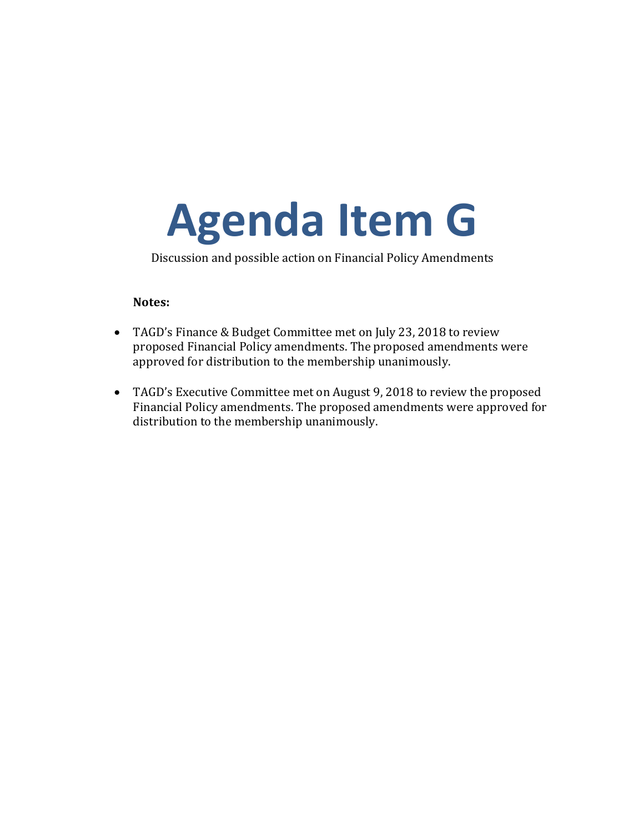# <span id="page-16-0"></span>**Agenda Item G**

Discussion and possible action on Financial Policy Amendments

### **Notes:**

- TAGD's Finance & Budget Committee met on July 23, 2018 to review proposed Financial Policy amendments. The proposed amendments were approved for distribution to the membership unanimously.
- TAGD's Executive Committee met on August 9, 2018 to review the proposed Financial Policy amendments. The proposed amendments were approved for distribution to the membership unanimously.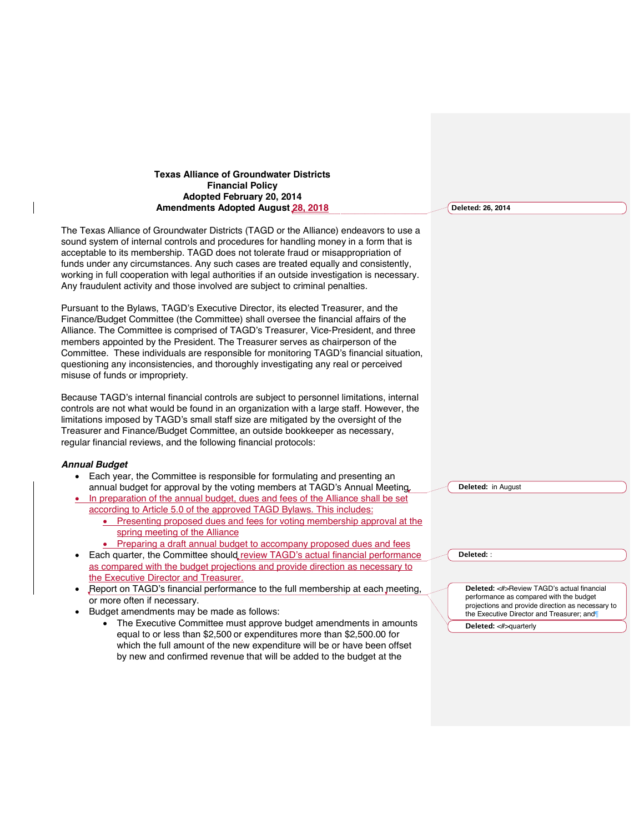### **Texas Alliance of Groundwater Districts Financial Policy Adopted February 20, 2014 Amendments Adopted August 28, 2018**

The Texas Alliance of Groundwater Districts (TAGD or the Alliance) endeavors to use a sound system of internal controls and procedures for handling money in a form that is acceptable to its membership. TAGD does not tolerate fraud or misappropriation of funds under any circumstances. Any such cases are treated equally and consistently, working in full cooperation with legal authorities if an outside investigation is necessary. Any fraudulent activity and those involved are subject to criminal penalties.

Pursuant to the Bylaws, TAGD's Executive Director, its elected Treasurer, and the Finance/Budget Committee (the Committee) shall oversee the financial affairs of the Alliance. The Committee is comprised of TAGD's Treasurer, Vice-President, and three members appointed by the President. The Treasurer serves as chairperson of the Committee. These individuals are responsible for monitoring TAGD's financial situation, questioning any inconsistencies, and thoroughly investigating any real or perceived misuse of funds or impropriety.

Because TAGD's internal financial controls are subject to personnel limitations, internal controls are not what would be found in an organization with a large staff. However, the limitations imposed by TAGD's small staff size are mitigated by the oversight of the Treasurer and Finance/Budget Committee, an outside bookkeeper as necessary, regular financial reviews, and the following financial protocols:

#### *Annual Budget*

- Each year, the Committee is responsible for formulating and presenting an annual budget for approval by the voting members at TAGD's Annual Meeting.
- In preparation of the annual budget, dues and fees of the Alliance shall be set according to Article 5.0 of the approved TAGD Bylaws. This includes:
	- Presenting proposed dues and fees for voting membership approval at the spring meeting of the Alliance
	- Preparing a draft annual budget to accompany proposed dues and fees
- Each quarter, the Committee should review TAGD's actual financial performance as compared with the budget projections and provide direction as necessary to the Executive Director and Treasurer.
- Report on TAGD's financial performance to the full membership at each meeting, or more often if necessary.
- Budget amendments may be made as follows:
	- The Executive Committee must approve budget amendments in amounts equal to or less than \$2,500 or expenditures more than \$2,500.00 for which the full amount of the new expenditure will be or have been offset by new and confirmed revenue that will be added to the budget at the

**Deleted: 26, 2014**

**Deleted:** in August

**Deleted:** :

**Deleted:** <#>Review TAGD's actual financial performance as compared with the budget projections and provide direction as necessary to the Executive Director and Treasurer; and¶

**Deleted:** <#>quarterly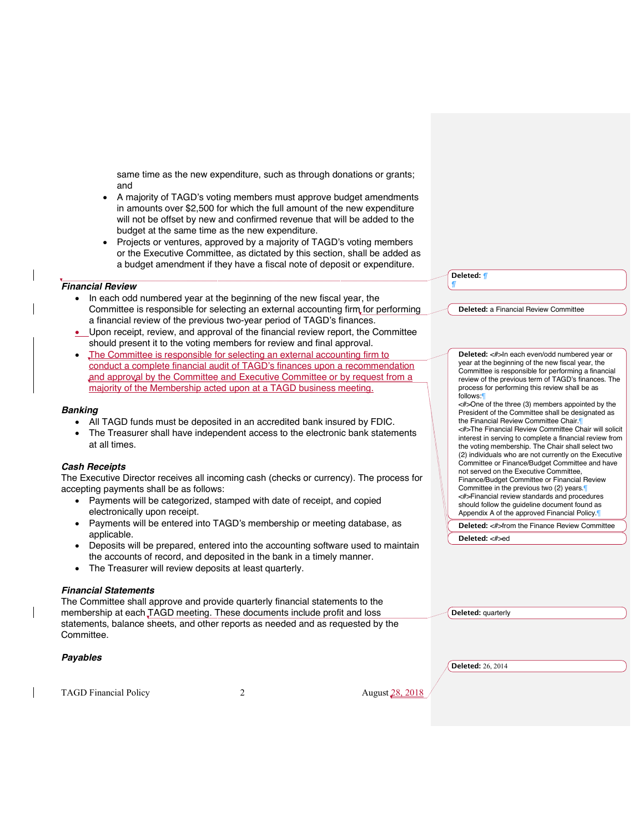same time as the new expenditure, such as through donations or grants; and

- A majority of TAGD's voting members must approve budget amendments in amounts over \$2,500 for which the full amount of the new expenditure will not be offset by new and confirmed revenue that will be added to the budget at the same time as the new expenditure.
- Projects or ventures, approved by a majority of TAGD's voting members or the Executive Committee, as dictated by this section, shall be added as a budget amendment if they have a fiscal note of deposit or expenditure.

### *Financial Review*

- In each odd numbered year at the beginning of the new fiscal year, the Committee is responsible for selecting an external accounting firm for performing a financial review of the previous two-year period of TAGD's finances.
- Upon receipt, review, and approval of the financial review report, the Committee should present it to the voting members for review and final approval.
- The Committee is responsible for selecting an external accounting firm to conduct a complete financial audit of TAGD's finances upon a recommendation and approval by the Committee and Executive Committee or by request from a majority of the Membership acted upon at a TAGD business meeting.

#### *Banking*

- All TAGD funds must be deposited in an accredited bank insured by FDIC.
- The Treasurer shall have independent access to the electronic bank statements at all times.

### *Cash Receipts*

The Executive Director receives all incoming cash (checks or currency). The process for accepting payments shall be as follows:

- Payments will be categorized, stamped with date of receipt, and copied electronically upon receipt.
- Payments will be entered into TAGD's membership or meeting database, as applicable.
- Deposits will be prepared, entered into the accounting software used to maintain the accounts of record, and deposited in the bank in a timely manner.
- The Treasurer will review deposits at least quarterly.

#### *Financial Statements*

The Committee shall approve and provide quarterly financial statements to the membership at each TAGD meeting. These documents include profit and loss statements, balance sheets, and other reports as needed and as requested by the Committee.

### *Payables*

TAGD Financial Policy 2 2 August 28, 2018

**Deleted:** a Financial Review Committee

**Deleted:** *¶ ¶*

> **Deleted:** <#>In each even/odd numbered year or year at the beginning of the new fiscal year, the Committee is responsible for performing a financial review of the previous term of TAGD's finances. The process for performing this review shall be as follows:¶ <#>One of the three (3) members appointed by the President of the Committee shall be designated as the Financial Review Committee Chair. <#>The Financial Review Committee Chair will solicit interest in serving to complete a financial review from the voting membership. The Chair shall select two (2) individuals who are not currently on the Executive Committee or Finance/Budget Committee and have

not served on the Executive Committee, Finance/Budget Committee or Financial Review Committee in the previous two (2) years.¶ <#>Financial review standards and procedures should follow the guideline document found as Appendix A of the approved Financial Policy.¶

**Deleted:** <#>from the Finance Review Committee

**Deleted:** <#>ed

**Deleted:** quarterly

**Deleted:** 26, 2014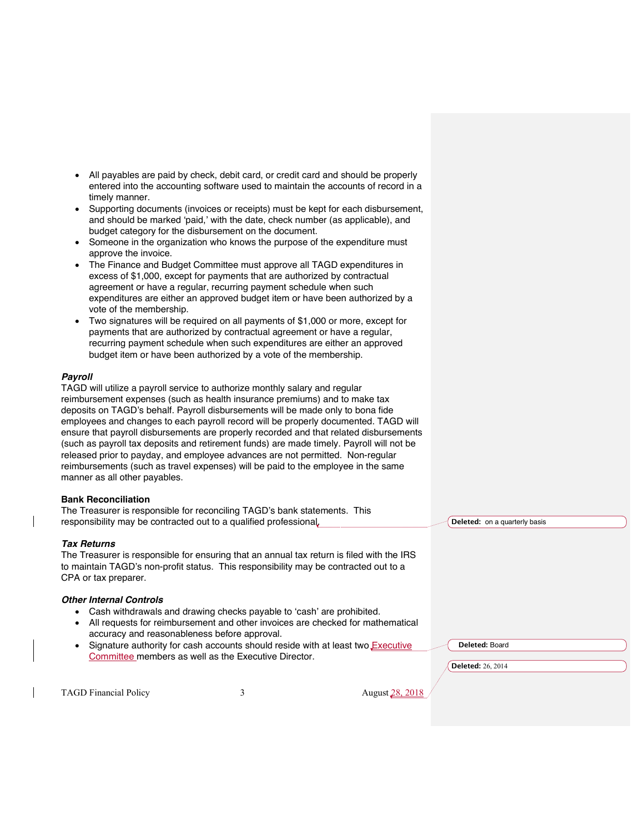- All payables are paid by check, debit card, or credit card and should be properly entered into the accounting software used to maintain the accounts of record in a timely manner.
- Supporting documents (invoices or receipts) must be kept for each disbursement, and should be marked 'paid,' with the date, check number (as applicable), and budget category for the disbursement on the document.
- Someone in the organization who knows the purpose of the expenditure must approve the invoice.
- The Finance and Budget Committee must approve all TAGD expenditures in excess of \$1,000, except for payments that are authorized by contractual agreement or have a regular, recurring payment schedule when such expenditures are either an approved budget item or have been authorized by a vote of the membership.
- Two signatures will be required on all payments of \$1,000 or more, except for payments that are authorized by contractual agreement or have a regular, recurring payment schedule when such expenditures are either an approved budget item or have been authorized by a vote of the membership.

### *Payroll*

TAGD will utilize a payroll service to authorize monthly salary and regular reimbursement expenses (such as health insurance premiums) and to make tax deposits on TAGD's behalf. Payroll disbursements will be made only to bona fide employees and changes to each payroll record will be properly documented. TAGD will ensure that payroll disbursements are properly recorded and that related disbursements (such as payroll tax deposits and retirement funds) are made timely. Payroll will not be released prior to payday, and employee advances are not permitted. Non-regular reimbursements (such as travel expenses) will be paid to the employee in the same manner as all other payables.

#### **Bank Reconciliation**

The Treasurer is responsible for reconciling TAGD's bank statements. This responsibility may be contracted out to a qualified professional.

#### *Tax Returns*

The Treasurer is responsible for ensuring that an annual tax return is filed with the IRS to maintain TAGD's non-profit status. This responsibility may be contracted out to a CPA or tax preparer.

#### *Other Internal Controls*

- Cash withdrawals and drawing checks payable to 'cash' are prohibited.
- All requests for reimbursement and other invoices are checked for mathematical accuracy and reasonableness before approval.
- Signature authority for cash accounts should reside with at least two Executive Committee members as well as the Executive Director.

**Deleted:** on a quarterly basis

**Deleted:** Board

**Deleted:** 26, 2014

TAGD Financial Policy 3 August 28, 2018